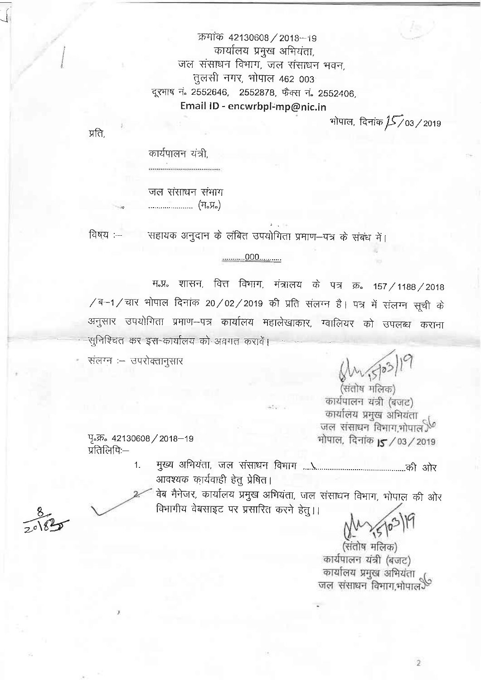क्रमांक 42130608 / 2018-19 कार्यालय प्रमुख अभियंता. जल संसाधन विभाग, जल संसाधन भवन, तुलसी नगर, भोपाल 462 003 दूरभाष नं. 2552646, 2552878, फैक्स नं. 2552406, Email ID - encwrbpl-mp@nic.in

भोपाल, दिनांक 15/03/2019

प्रति.

कार्यपालन यंत्री,

जल संसाधन संभाग 

सहायक अनुदान के लंबित उपयोगिता प्रमाण-पत्र के संबंध में। विषय $:=$ 

## ............000...........

म.प्र. शासन, वित्त विभाग, मंत्रालय के पत्र क्र. 157 / 1188 / 2018 /ब-1/चार भोपाल दिनांक 20/02/2019 की प्रति संलग्न है। पत्र में संलग्न सूची के अनुसार उपयोगिता प्रमाण--पत्र कार्यालय महालेखाकार, ग्वालियर को उपलब्ध कराना -सुनिश्चित कर इस-कार्यालय को अवगत करावें।

संलग्न :- उपरोक्तानुसार

Shi 5/03/19

.<br>(संतोष मलिक) कार्यपालन यंत्री (बजट) कार्यालय प्रमुख अभियंता जल संसाधन विभाग,भोपाल<sup>ु(6</sup> भोपाल, दिनांक 15 / 03 / 2019

ዓ. ም. 42130608 / 2018-19 प्रतिलिपिः—

> $1.$ आवश्यक कार्यवाही हेतु प्रेषित।

वेब मैनेजर, कार्यालय प्रमुख अभियंता, जल संसाधन विभाग, भोपाल की ओर विभागीय वेबसाइट पर प्रसारित करने हेत् ।।

,<br>(संतोष मलिक) कार्यपालन यंत्री (बजट) कार्यालय प्रमुख अभियंता<br>जल संसाधन विभाग,भोपाल<sup>9</sup>

 $\mathbf{2}$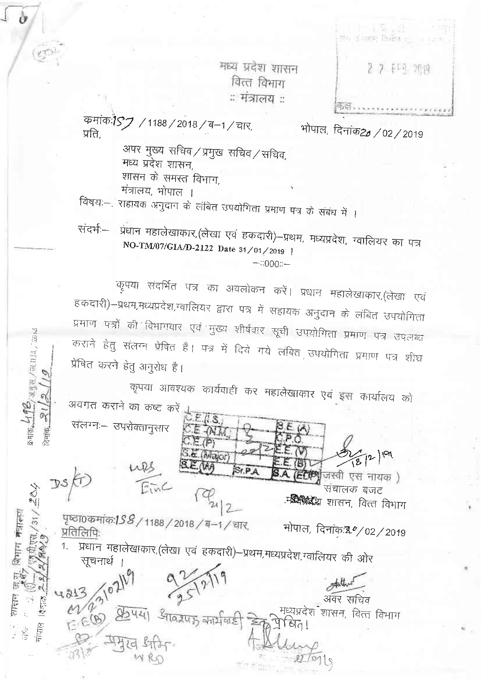मध्य प्रदेश शासन वित्त विभाग ः मंत्रालय :

**ALL AND** गंग व तरफ किसेंब है। 2 7 143 개四

कमांक:187 / 1188 / 2018 / ब-1 / चार, प्रति

o

 $\mathfrak{B}$ ajan $\mathcal{H}$ 13. yy $\mathfrak{g}_{\mathfrak{A}}$ /maha, 2013

 $\mathbb{C}$ 

 $\tilde{\mathcal{H}}$ 

े नांक

 $\frac{1}{2} \frac{1}{2}$ 

शिर्मान मन्त्राल्श

PS

प्रतिलिपिः

सूचनार्थ

 $E(E(\mathcal{B}))$ 

भोपाल, दिनांक20 / 02 / 2019

अपर मुख्य सचिव/प्रमुख सचिव/सचिव, मध्य प्रदेश शासन, शासन के समस्त विभाग, मंत्रालय, भोपाल ।

विषय:--. राहायक अनुदान के लंबित उपयोगिता प्रमाण पत्र के संबंध में ।

प्रधान महालेखाकार, (लेखा एवं हकदारी)-प्रथम, मध्यप्रदेश, ग्वालियर का पत्र संदर्भ:--NO-TM/07/GIA/D-2122 Date 31/01/2019 |  $-1000 -$ 

कृपया संदर्भित पत्र का अवलोकन करें। प्रधान महालेखाकार,(लेखा एवं हकदारी)-प्रथम,मध्यप्रदेश,ग्वालियर द्वारा पत्र में सहायक अनुदान के लंबित उपयोगिता प्रमाण पत्रों की विभागवार एवं मुख्य शीर्षवार सूची उपयोगिता प्रमाण पत्र उपलब्ध कराने हेतु संलग्न प्रेषित है। पत्र में दिये गये लंबित उपयोगिता प्रमाण पत्र शीघ्र प्रेषित करने हेतु अनुरोध है।

कृपया आवश्यक कार्यवाही कर महालेखाकार एवं इस कार्यालय को अवगत कराने का कष्ट करें  $\overline{\mu}$ s

Sr.P.A

प्रधान महालेखाकार,(लेखा एवं हकदारी)–प्रथम,मध्यप्रदेश,ग्वालियर की ओर

गवरपाक कार्यावाही

 $\langle \mathbf{B} \rangle$ 

**हिटेक्श्वे**जस्वी एस नायक )

भोपाल, दिनांक<sup>20</sup>/02/2019

अवर सचिव मध्यप्रदेश शासन, वित्त विभाग

संचालक बजट .म**ध्यिध्रद्धे** शासन, वित्त विभाग

CE WIT

 $C.E(p)$ S. & (Major)

संलग्नः– उपरोक्तानुसार

पृष्ठा0कमांक:1*S & /* 1188 / 2018 / ब-1 / चार,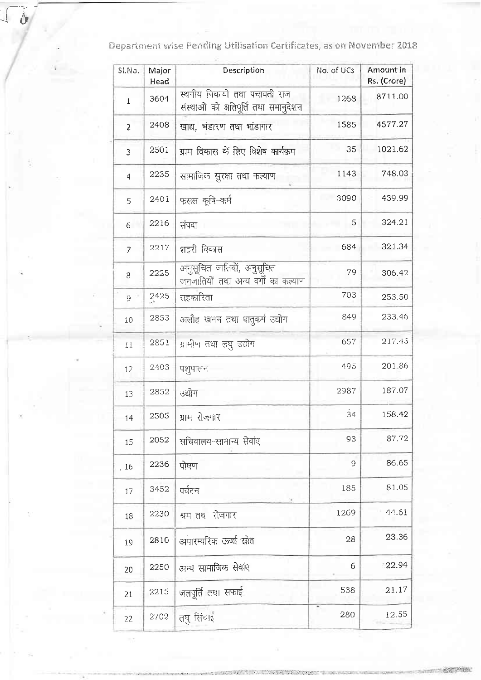Department wise Pending Utilisation Certificates, as on November 2018

 $\delta$ 

| SI.No.         | Major<br>Head | Description                                                             | No. of UCs | Amount in<br>Rs. (Crore) |  |
|----------------|---------------|-------------------------------------------------------------------------|------------|--------------------------|--|
| $\mathbf{1}$   | 3604          | स्थनीय निकायों तथा पंचायती राज<br>संस्थाओं को क्षतिपूर्ति तथा समानुदेशन | 1268       | 8711.00                  |  |
| 2              | 2408          | खाद्य, भंडारण तथा भांडागार                                              | 1585       | 4577.27                  |  |
| 3              | 2501          | ग्राम विकास के लिए विशेष कार्यक्रम                                      | 35         | 1021.62                  |  |
| $\overline{4}$ | 2235          | सामाजिक सुरक्षा तथा कल्याण                                              | 1143       | 748.03                   |  |
| 5              | 2401          | फसल कृषि-कर्म                                                           | 3090       | 439.99                   |  |
| 6              | 2216          | संपदा                                                                   | 5          | 324 21                   |  |
| $\overline{7}$ | 2217          | शहरी विकास                                                              | 684        | 321.34                   |  |
| 8              | 2225          | अनुसूचित जातियों, अनुसूचित<br>जनजातियों तथा अन्य वर्गो का कल्याण        | 79         | 306.42                   |  |
| 9              | 2425          | सहकारिता                                                                | 703        | 253.50                   |  |
| 10             | 2853          | अलौह खनन तथा धातुकर्म उद्योग                                            | 849        | 233.46                   |  |
| 11             | 2851          | ग्रामीण तथा लघु उद्योग                                                  | 657        | 217.45                   |  |
| 12             | 2403          | पशुपालन                                                                 | 495        | 201.86                   |  |
| 13             | 2852          | उद्योग                                                                  | 2987       | 187.07                   |  |
| 14             | 2505          | ग्राम रोजगार                                                            | $\dot{3}4$ | 158.42                   |  |
| 15             | 2052          | सचिवालय-सामान्य सेवांए                                                  | 93         | 87.72                    |  |
| .16            | 2236          | पोषण                                                                    | 9          | 86.65                    |  |
| 17             | 3452          | पर्यटन                                                                  | 185        | 81.05                    |  |
| 18             | 2230          | 1269<br>श्रम तथा रोजगार                                                 |            | 44.61                    |  |
| 19             | 2810          | अपारम्परिक ऊर्जा स्रोत                                                  | 28         |                          |  |
| 20             | 2250          | अन्य सामाजिक सेवांए                                                     | 6          | 22.94                    |  |
| 21             | 2215          | जलपूर्ति तथा सफाई                                                       | 538        | 21.17                    |  |
| 22             | 2702          | लघु सिंचाई                                                              | 280        | 12.55                    |  |

 $= 8.873408.$ 

 $\mathcal{O}(\sqrt{2})$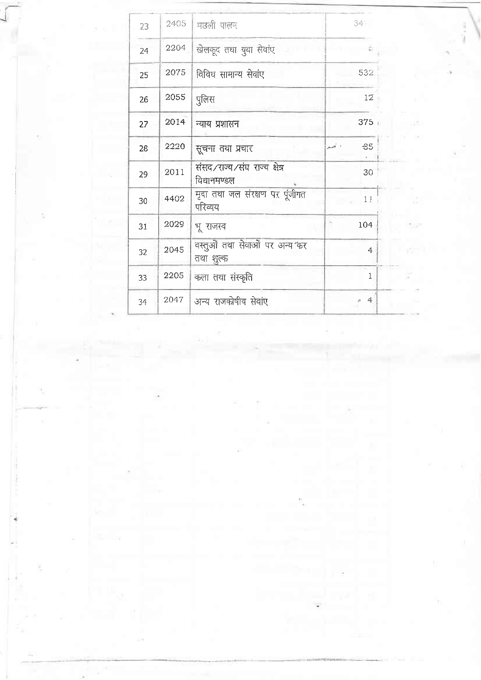| 23 | 2405 | मछली पालन                                    | 34%                            |  |
|----|------|----------------------------------------------|--------------------------------|--|
| 24 | 2204 | खेलकूद तथा युवा सेवांए                       |                                |  |
| 25 | 2075 | विविध सामान्य सेवांए                         | 532                            |  |
| 26 | 2055 | पुलिस                                        | 12                             |  |
| 27 | 2014 | न्याय प्रशासन                                | 375                            |  |
| 28 | 2220 | सूचना तथा प्रचार                             | S5<br>وأشهر                    |  |
| 29 | 2011 | संसद ∕राज्य ∕संघ राज्य क्षेत्र<br>विधानमण्डल | 30                             |  |
| 30 | 4402 | मृदा तथा जल संरक्षण पर पूंजीगत<br>परिव्यय    | 11                             |  |
| 31 | 2029 | भू राजस्व                                    | 104                            |  |
| 32 | 2045 | वस्तुओं तथा सेवाओं पर अन्य कर<br>तथा शुल्क   | $\overline{4}$                 |  |
| 33 | 2205 | कला तथा संस्कृति                             | 1                              |  |
| 34 | 2047 | अन्य राजकोषीय सेवांए                         | $\overline{4}$<br>$\hat{\rho}$ |  |
|    |      |                                              |                                |  |

 $\frac{1}{2}$ Ĩ.

 $\rho=1$ 

÷

 $\sim$  1.0  $\sim$ 

ò,

.

T6

 $\alpha \approx 10^{-5}$ 

Š,

Ý.

 $\mathcal{L}_i$ 

 $T_1 = -\infty$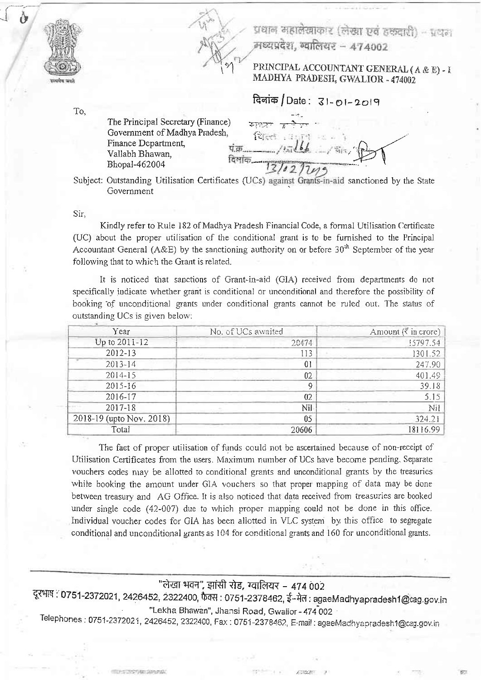



## PRINCIPAL ACCOUNTANT GENERAL (A & E) - I MADHYA PRADESH, GWALIOR - 474002

दिलांक / Date: 31-01-2019

To.

The Principal Secretary (Finance) Government of Madhya Pradesh. Finance Department, Vallabh Bhawan, Bhopal-462004

पं.क्र… दिशांक

Subject: Outstanding Utilisation Certificates (UCs) against Grants-in-aid sanctioned by the State Government

Sir,

Kindly refer to Rule 182 of Madhya Pradesh Financial Code, a formal Utilisation Certificate (UC) about the proper utilisation of the conditional grant is to be furnished to the Principal Accountant General (A&E) by the sanctioning authority on or before  $30<sup>th</sup>$  September of the vear following that to which the Grant is related.

It is noticed that sanctions of Grant-in-aid (GIA) received from departments do not specifically indicate whether grant is conditional or unconditional and therefore the possibility of booking of unconditional grants under conditional grants cannot be ruled out. The status of outstanding UCs is given below:

| Year                     | No. of UCs awaited | Amount ( $\bar{x}$ in crore) |  |
|--------------------------|--------------------|------------------------------|--|
| Up to 2011-12            | 20474              | 15797.54                     |  |
| 2012-13                  | 113                | 1301.52                      |  |
| $2013 - 14$              | 01                 | 247.90                       |  |
| 2014-15                  | 02                 | 401.49                       |  |
| 2015-16                  | 9                  | 39.18                        |  |
| 2016-17                  | 02                 | 5.15                         |  |
| 2017-18                  | Nil                | Nil                          |  |
| 2018-19 (upto Nov. 2018) | 05                 | 324.21                       |  |
| Total                    | 20606              | 18116.99                     |  |

The fact of proper utilisation of funds could not be ascertained because of non-receipt of Utilisation Certificates from the users. Maximum number of UCs have become pending, Separate vouchers codes may be allotted to conditional grants and unconditional grants by the treasuries while booking the amount under GIA vouchers so that proper mapping of data may be done between treasury and AG Office. It is also noticed that data received from treasuries are booked under single code (42-007) due to which proper mapping could not be done in this office. Individual voucher codes for GIA has been allotted in VLC system by this office to segregate conditional and unconditional grants as 104 for conditional grants and 160 for unconditional grants.

## "लेखा भवन", झांसी रोड, ग्वालियर – 474 002

दूरभाष : 0751-2372021, 2426452, 2322400, फैक्स : 0751-2378462, ई-मेल : agaeMadhyapradesh1@cag.gov.in "Lekha Bhawan", Jhansi Road, Gwallor - 474 002

Telephones: 0751-2372021, 2426452, 2322400, Fax: 0751-2378462, E-mail: agaeMadhyapradesh1@cag.gov.in

TO CAR DESCRIPTION